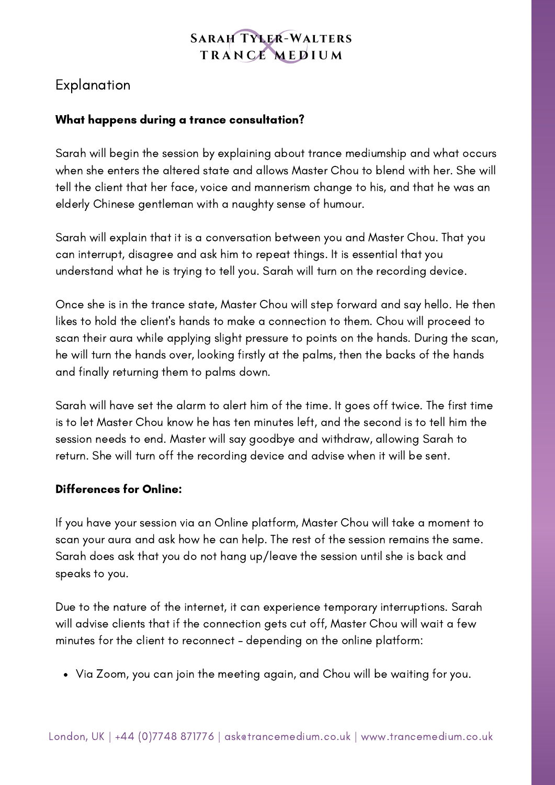## **SARAH TYLER-WALTERS** TRANCE MEDIUM

# Explanation

#### What happens during a trance consultation?

Sarah will begin the session by explaining about trance mediumship and what occurs when she enters the altered state and allows Master Chou to blend with her. She will tell the client that her face, voice and mannerism change to his, and that he was an elderly Chinese gentleman with a naughty sense of humour.

Sarah will explain that it is a conversation between you and Master Chou. That you can interrupt, disagree and ask him to repeat things. It is essential that you understand what he is trying to tell you. Sarah will turn on the recording device.

Once she is in the trance state, Master Chou will step forward and say hello. He then likes to hold the client's hands to make a connection to them. Chou will proceed to scan their aura while applying slight pressure to points on the hands. During the scan, he will turn the hands over, looking firstly at the palms, then the backs of the hands and finally returning them to palms down.

Sarah will have set the alarm to alert him of the time. It goes off twice. The first time is to let Master Chou know he has ten minutes left, and the second is to tell him the session needs to end. Master will say goodbye and withdraw, allowing Sarah to return. She will turn off the recording device and advise when it will be sent.

#### Differences for Online:

If you have your session via an Online platform, Master Chou will take a moment to scan your aura and ask how he can help. The rest of the session remains the same. Sarah does ask that you do not hang up/leave the session until she is back and speaks to you.

Due to the nature of the internet, it can experience temporary interruptions. Sarah will advise clients that if the connection gets cut off, Master Chou will wait a few minutes for the client to reconnect - depending on the online platform:

Via Zoom, you can join the meeting again, and Chou will be waiting for you.